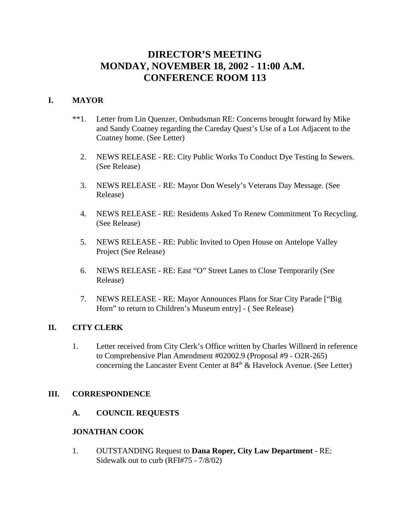# **DIRECTOR'S MEETING MONDAY, NOVEMBER 18, 2002 - 11:00 A.M. CONFERENCE ROOM 113**

## **I. MAYOR**

- \*\*1. Letter from Lin Quenzer, Ombudsman RE: Concerns brought forward by Mike and Sandy Coatney regarding the Careday Quest's Use of a Lot Adjacent to the Coatney home. (See Letter)
	- 2. NEWS RELEASE RE: City Public Works To Conduct Dye Testing In Sewers. (See Release)
	- 3. NEWS RELEASE RE: Mayor Don Wesely's Veterans Day Message. (See Release)
	- 4. NEWS RELEASE RE: Residents Asked To Renew Commitment To Recycling. (See Release)
	- 5. NEWS RELEASE RE: Public Invited to Open House on Antelope Valley Project (See Release)
	- 6. NEWS RELEASE RE: East "O" Street Lanes to Close Temporarily (See Release)
	- 7. NEWS RELEASE RE: Mayor Announces Plans for Star City Parade ["Big Horn" to return to Children's Museum entry] - ( See Release)

## **II. CITY CLERK**

1. Letter received from City Clerk's Office written by Charles Willnerd in reference to Comprehensive Plan Amendment #02002.9 (Proposal #9 - O2R-265) concerning the Lancaster Event Center at  $84<sup>th</sup>$  & Havelock Avenue. (See Letter)

#### **III. CORRESPONDENCE**

**A. COUNCIL REQUESTS**

#### **JONATHAN COOK**

1. OUTSTANDING Request to **Dana Roper, City Law Department** - RE: Sidewalk out to curb (RFI#75 - 7/8/02)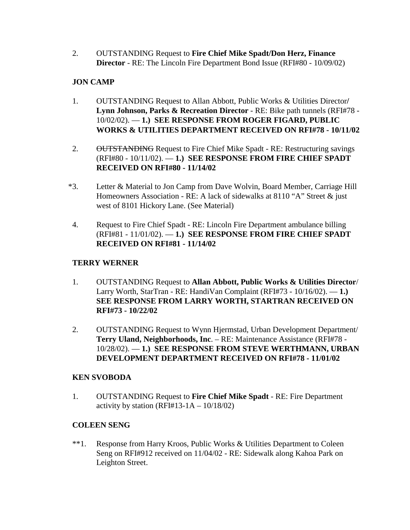2. OUTSTANDING Request to **Fire Chief Mike Spadt/Don Herz, Finance Director** - RE: The Lincoln Fire Department Bond Issue (RFI#80 - 10/09/02)

## **JON CAMP**

- 1. OUTSTANDING Request to Allan Abbott, Public Works & Utilities Director**/ Lynn Johnson, Parks & Recreation Director** - RE: Bike path tunnels (RFI#78 - 10/02/02). — **1.) SEE RESPONSE FROM ROGER FIGARD, PUBLIC WORKS & UTILITIES DEPARTMENT RECEIVED ON RFI#78 - 10/11/02**
- 2. OUTSTANDING Request to Fire Chief Mike Spadt RE: Restructuring savings (RFI#80 - 10/11/02). — **1.) SEE RESPONSE FROM FIRE CHIEF SPADT RECEIVED ON RFI#80 - 11/14/02**
- \*3. Letter & Material to Jon Camp from Dave Wolvin, Board Member, Carriage Hill Homeowners Association - RE: A lack of sidewalks at 8110 "A" Street & just west of 8101 Hickory Lane. (See Material)
- 4. Request to Fire Chief Spadt RE: Lincoln Fire Department ambulance billing (RFI#81 - 11/01/02). — **1.) SEE RESPONSE FROM FIRE CHIEF SPADT RECEIVED ON RFI#81 - 11/14/02**

## **TERRY WERNER**

- 1. OUTSTANDING Request to **Allan Abbott, Public Works & Utilities Director**/ Larry Worth, StarTran - RE: HandiVan Complaint (RFI#73 - 10/16/02). — **1.) SEE RESPONSE FROM LARRY WORTH, STARTRAN RECEIVED ON RFI#73 - 10/22/02**
- 2. OUTSTANDING Request to Wynn Hjermstad, Urban Development Department/ **Terry Uland, Neighborhoods, Inc**. – RE: Maintenance Assistance (RFI#78 - 10/28/02). — **1.) SEE RESPONSE FROM STEVE WERTHMANN, URBAN DEVELOPMENT DEPARTMENT RECEIVED ON RFI#78 - 11/01/02**

## **KEN SVOBODA**

1. OUTSTANDING Request to **Fire Chief Mike Spadt** - RE: Fire Department activity by station (RFI#13-1A  $- 10/18/02$ )

## **COLEEN SENG**

\*\*1. Response from Harry Kroos, Public Works & Utilities Department to Coleen Seng on RFI#912 received on 11/04/02 - RE: Sidewalk along Kahoa Park on Leighton Street.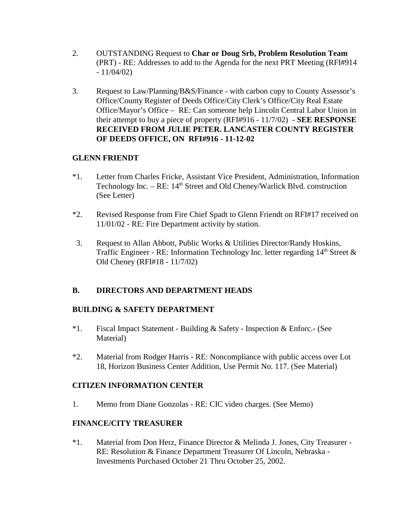- 2. OUTSTANDING Request to **Char or Doug Srb, Problem Resolution Team** (PRT) - RE: Addresses to add to the Agenda for the next PRT Meeting (RFI#914  $-11/04/02$
- 3. Request to Law/Planning/B&S/Finance with carbon copy to County Assessor's Office/County Register of Deeds Office/City Clerk's Office/City Real Estate Office/Mayor's Office – RE: Can someone help Lincoln Central Labor Union in their attempt to buy a piece of property (RFI#916 - 11/7/02) - **SEE RESPONSE RECEIVED FROM JULIE PETER. LANCASTER COUNTY REGISTER OF DEEDS OFFICE, ON RFI#916 - 11-12-02**

## **GLENN FRIENDT**

- \*1. Letter from Charles Fricke, Assistant Vice President, Administration, Information Technology Inc. – RE: 14<sup>th</sup> Street and Old Cheney/Warlick Blvd. construction (See Letter)
- \*2. Revised Response from Fire Chief Spadt to Glenn Friendt on RFI#17 received on 11/01/02 - RE: Fire Department activity by station.
- 3. Request to Allan Abbott, Public Works & Utilities Director/Randy Hoskins, Traffic Engineer - RE: Information Technology Inc. letter regarding  $14<sup>th</sup>$  Street  $\&$ Old Cheney (RFI#18 - 11/7/02)

## **B. DIRECTORS AND DEPARTMENT HEADS**

## **BUILDING & SAFETY DEPARTMENT**

- \*1. Fiscal Impact Statement Building & Safety Inspection & Enforc.- (See Material)
- \*2. Material from Rodger Harris RE: Noncompliance with public access over Lot 18, Horizon Business Center Addition, Use Permit No. 117. (See Material)

## **CITIZEN INFORMATION CENTER**

1. Memo from Diane Gonzolas - RE: CIC video charges. (See Memo)

## **FINANCE/CITY TREASURER**

\*1. Material from Don Herz, Finance Director & Melinda J. Jones, City Treasurer - RE: Resolution & Finance Department Treasurer Of Lincoln, Nebraska - Investments Purchased October 21 Thru October 25, 2002.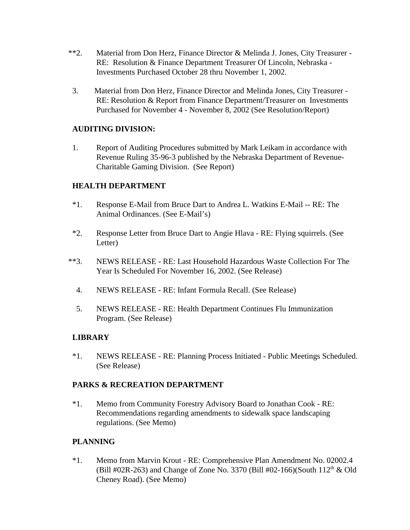- \*\*2. Material from Don Herz, Finance Director & Melinda J. Jones, City Treasurer RE: Resolution & Finance Department Treasurer Of Lincoln, Nebraska - Investments Purchased October 28 thru November 1, 2002.
- 3. Material from Don Herz, Finance Director and Melinda Jones, City Treasurer RE: Resolution & Report from Finance Department/Treasurer on Investments Purchased for November 4 - November 8, 2002 (See Resolution/Report)

## **AUDITING DIVISION:**

1. Report of Auditing Procedures submitted by Mark Leikam in accordance with Revenue Ruling 35-96-3 published by the Nebraska Department of Revenue-Charitable Gaming Division. (See Report)

## **HEALTH DEPARTMENT**

- \*1. Response E-Mail from Bruce Dart to Andrea L. Watkins E-Mail -- RE: The Animal Ordinances. (See E-Mail's)
- \*2. Response Letter from Bruce Dart to Angie Hlava RE: Flying squirrels. (See Letter)
- \*\*3. NEWS RELEASE RE: Last Household Hazardous Waste Collection For The Year Is Scheduled For November 16, 2002. (See Release)
	- 4. NEWS RELEASE RE: Infant Formula Recall. (See Release)
	- 5. NEWS RELEASE RE: Health Department Continues Flu Immunization Program. (See Release)

## **LIBRARY**

\*1. NEWS RELEASE - RE: Planning Process Initiated - Public Meetings Scheduled. (See Release)

## **PARKS & RECREATION DEPARTMENT**

\*1. Memo from Community Forestry Advisory Board to Jonathan Cook - RE: Recommendations regarding amendments to sidewalk space landscaping regulations. (See Memo)

## **PLANNING**

\*1. Memo from Marvin Krout - RE: Comprehensive Plan Amendment No. 02002.4 (Bill #02R-263) and Change of Zone No. 3370 (Bill #02-166)(South  $112<sup>th</sup>$  & Old Cheney Road). (See Memo)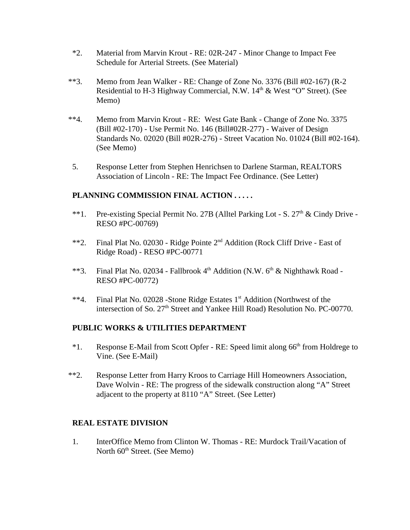- \*2. Material from Marvin Krout RE: 02R-247 Minor Change to Impact Fee Schedule for Arterial Streets. (See Material)
- \*\*3. Memo from Jean Walker RE: Change of Zone No. 3376 (Bill #02-167) (R-2 Residential to H-3 Highway Commercial, N.W. 14<sup>th</sup> & West "O" Street). (See Memo)
- \*\*4. Memo from Marvin Krout RE: West Gate Bank Change of Zone No. 3375 (Bill #02-170) - Use Permit No. 146 (Bill#02R-277) - Waiver of Design Standards No. 02020 (Bill #02R-276) - Street Vacation No. 01024 (Bill #02-164). (See Memo)
- 5. Response Letter from Stephen Henrichsen to Darlene Starman, REALTORS Association of Lincoln - RE: The Impact Fee Ordinance. (See Letter)

## **PLANNING COMMISSION FINAL ACTION . . . . .**

- \*\*1. Pre-existing Special Permit No. 27B (Alltel Parking Lot S.  $27<sup>th</sup>$  & Cindy Drive -RESO #PC-00769)
- \*\*2. Final Plat No. 02030 Ridge Pointe 2nd Addition (Rock Cliff Drive East of Ridge Road) - RESO #PC-00771
- \*\*3. Final Plat No. 02034 Fallbrook 4<sup>th</sup> Addition (N.W. 6<sup>th</sup> & Nighthawk Road -RESO #PC-00772)
- \*\*4. Final Plat No. 02028 -Stone Ridge Estates 1<sup>st</sup> Addition (Northwest of the intersection of So. 27<sup>th</sup> Street and Yankee Hill Road) Resolution No. PC-00770.

## **PUBLIC WORKS & UTILITIES DEPARTMENT**

- $*1$ . Response E-Mail from Scott Opfer RE: Speed limit along 66<sup>th</sup> from Holdrege to Vine. (See E-Mail)
- \*\*2. Response Letter from Harry Kroos to Carriage Hill Homeowners Association, Dave Wolvin - RE: The progress of the sidewalk construction along "A" Street adjacent to the property at 8110 "A" Street. (See Letter)

## **REAL ESTATE DIVISION**

1. InterOffice Memo from Clinton W. Thomas - RE: Murdock Trail/Vacation of North  $60<sup>th</sup>$  Street. (See Memo)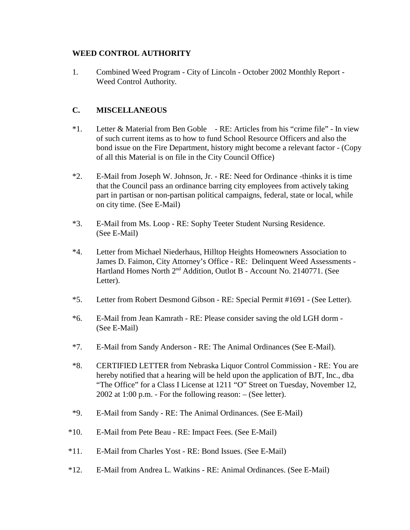## **WEED CONTROL AUTHORITY**

1. Combined Weed Program - City of Lincoln - October 2002 Monthly Report - Weed Control Authority.

# **C. MISCELLANEOUS**

- \*1. Letter & Material from Ben Goble RE: Articles from his "crime file" In view of such current items as to how to fund School Resource Officers and also the bond issue on the Fire Department, history might become a relevant factor - (Copy of all this Material is on file in the City Council Office)
- \*2. E-Mail from Joseph W. Johnson, Jr. RE: Need for Ordinance -thinks it is time that the Council pass an ordinance barring city employees from actively taking part in partisan or non-partisan political campaigns, federal, state or local, while on city time. (See E-Mail)
- \*3. E-Mail from Ms. Loop RE: Sophy Teeter Student Nursing Residence. (See E-Mail)
- \*4. Letter from Michael Niederhaus, Hilltop Heights Homeowners Association to James D. Faimon, City Attorney's Office - RE: Delinquent Weed Assessments - Hartland Homes North 2<sup>nd</sup> Addition, Outlot B - Account No. 2140771. (See Letter).
- \*5. Letter from Robert Desmond Gibson RE: Special Permit #1691 (See Letter).
- \*6. E-Mail from Jean Kamrath RE: Please consider saving the old LGH dorm (See E-Mail)
- \*7. E-Mail from Sandy Anderson RE: The Animal Ordinances (See E-Mail).
- \*8. CERTIFIED LETTER from Nebraska Liquor Control Commission RE: You are hereby notified that a hearing will be held upon the application of BJT, Inc., dba "The Office" for a Class I License at 1211 "O" Street on Tuesday, November 12, 2002 at 1:00 p.m. - For the following reason: – (See letter).
- \*9. E-Mail from Sandy RE: The Animal Ordinances. (See E-Mail)
- \*10. E-Mail from Pete Beau RE: Impact Fees. (See E-Mail)
- \*11. E-Mail from Charles Yost RE: Bond Issues. (See E-Mail)
- \*12. E-Mail from Andrea L. Watkins RE: Animal Ordinances. (See E-Mail)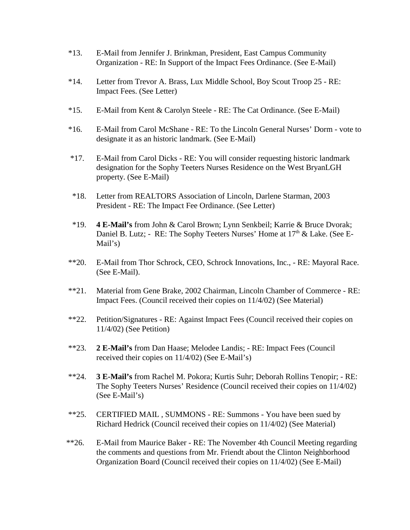- \*13. E-Mail from Jennifer J. Brinkman, President, East Campus Community Organization - RE: In Support of the Impact Fees Ordinance. (See E-Mail)
- \*14. Letter from Trevor A. Brass, Lux Middle School, Boy Scout Troop 25 RE: Impact Fees. (See Letter)
- \*15. E-Mail from Kent & Carolyn Steele RE: The Cat Ordinance. (See E-Mail)
- \*16. E-Mail from Carol McShane RE: To the Lincoln General Nurses' Dorm vote to designate it as an historic landmark. (See E-Mail)
- \*17. E-Mail from Carol Dicks RE: You will consider requesting historic landmark designation for the Sophy Teeters Nurses Residence on the West BryanLGH property. (See E-Mail)
- \*18. Letter from REALTORS Association of Lincoln, Darlene Starman, 2003 President - RE: The Impact Fee Ordinance. (See Letter)
- \*19. **4 E-Mail's** from John & Carol Brown; Lynn Senkbeil; Karrie & Bruce Dvorak; Daniel B. Lutz; - RE: The Sophy Teeters Nurses' Home at 17<sup>th</sup> & Lake. (See E-Mail's)
- \*\*20. E-Mail from Thor Schrock, CEO, Schrock Innovations, Inc., RE: Mayoral Race. (See E-Mail).
- \*\*21. Material from Gene Brake, 2002 Chairman, Lincoln Chamber of Commerce RE: Impact Fees. (Council received their copies on 11/4/02) (See Material)
- \*\*22. Petition/Signatures RE: Against Impact Fees (Council received their copies on 11/4/02) (See Petition)
- \*\*23. **2 E-Mail's** from Dan Haase; Melodee Landis; RE: Impact Fees (Council received their copies on 11/4/02) (See E-Mail's)
- \*\*24. **3 E-Mail's** from Rachel M. Pokora; Kurtis Suhr; Deborah Rollins Tenopir; RE: The Sophy Teeters Nurses' Residence (Council received their copies on 11/4/02) (See E-Mail's)
- \*\*25. CERTIFIED MAIL , SUMMONS RE: Summons You have been sued by Richard Hedrick (Council received their copies on 11/4/02) (See Material)
- \*\*26. E-Mail from Maurice Baker RE: The November 4th Council Meeting regarding the comments and questions from Mr. Friendt about the Clinton Neighborhood Organization Board (Council received their copies on 11/4/02) (See E-Mail)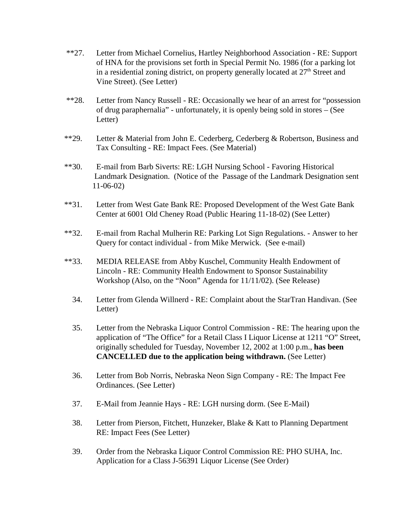- \*\*27. Letter from Michael Cornelius, Hartley Neighborhood Association RE: Support of HNA for the provisions set forth in Special Permit No. 1986 (for a parking lot in a residential zoning district, on property generally located at  $27<sup>th</sup>$  Street and Vine Street). (See Letter)
- \*\*28. Letter from Nancy Russell RE: Occasionally we hear of an arrest for "possession of drug paraphernalia" - unfortunately, it is openly being sold in stores – (See Letter)
- \*\*29. Letter & Material from John E. Cederberg, Cederberg & Robertson, Business and Tax Consulting - RE: Impact Fees. (See Material)
- \*\*30. E-mail from Barb Siverts: RE: LGH Nursing School Favoring Historical Landmark Designation. (Notice of the Passage of the Landmark Designation sent 11-06-02)
- \*\*31. Letter from West Gate Bank RE: Proposed Development of the West Gate Bank Center at 6001 Old Cheney Road (Public Hearing 11-18-02) (See Letter)
- \*\*32. E-mail from Rachal Mulherin RE: Parking Lot Sign Regulations. Answer to her Query for contact individual - from Mike Merwick. (See e-mail)
- \*\*33. MEDIA RELEASE from Abby Kuschel, Community Health Endowment of Lincoln - RE: Community Health Endowment to Sponsor Sustainability Workshop (Also, on the "Noon" Agenda for 11/11/02). (See Release)
	- 34. Letter from Glenda Willnerd RE: Complaint about the StarTran Handivan. (See Letter)
	- 35. Letter from the Nebraska Liquor Control Commission RE: The hearing upon the application of "The Office" for a Retail Class I Liquor License at 1211 "O" Street, originally scheduled for Tuesday, November 12, 2002 at 1:00 p.m., **has been CANCELLED due to the application being withdrawn.** (See Letter)
	- 36. Letter from Bob Norris, Nebraska Neon Sign Company RE: The Impact Fee Ordinances. (See Letter)
	- 37. E-Mail from Jeannie Hays RE: LGH nursing dorm. (See E-Mail)
	- 38. Letter from Pierson, Fitchett, Hunzeker, Blake & Katt to Planning Department RE: Impact Fees (See Letter)
	- 39. Order from the Nebraska Liquor Control Commission RE: PHO SUHA, Inc. Application for a Class J-56391 Liquor License (See Order)